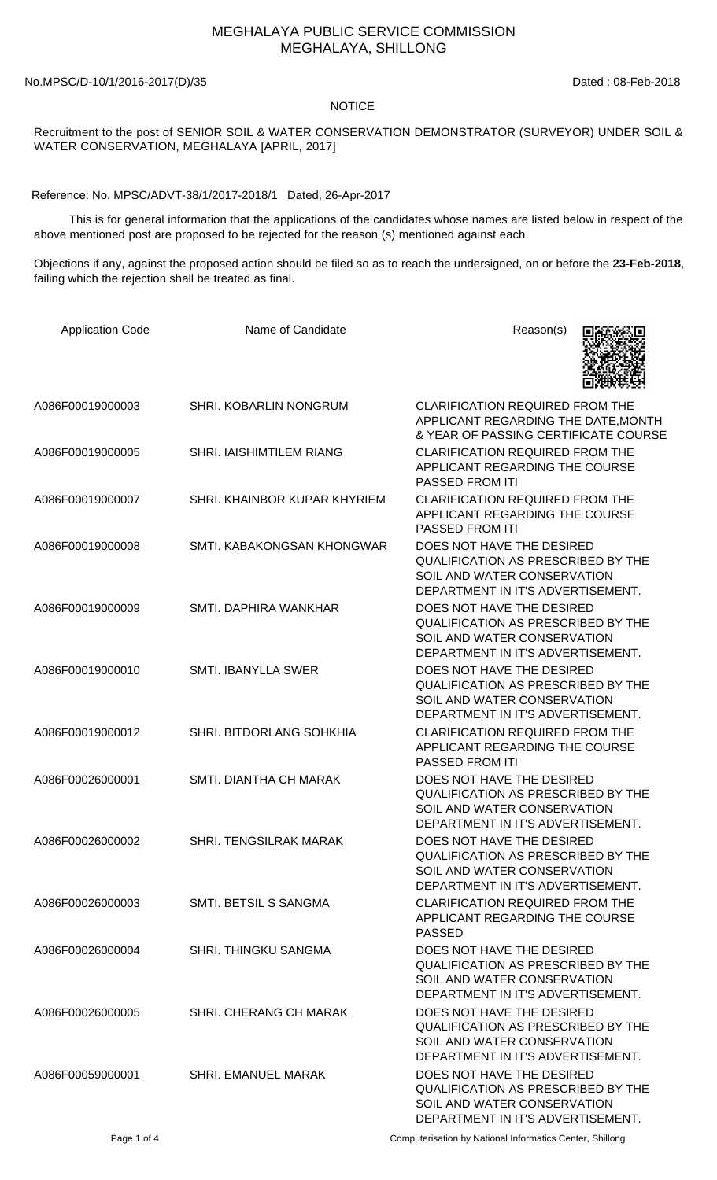## MEGHALAYA PUBLIC SERVICE COMMISSION MEGHALAYA, SHILLONG

No.MPSC/D-10/1/2016-2017(D)/35 Dated : 08-Feb-2018

## **NOTICE**

Recruitment to the post of SENIOR SOIL & WATER CONSERVATION DEMONSTRATOR (SURVEYOR) UNDER SOIL & WATER CONSERVATION, MEGHALAYA [APRIL, 2017]

Reference: No. MPSC/ADVT-38/1/2017-2018/1 Dated, 26-Apr-2017

 This is for general information that the applications of the candidates whose names are listed below in respect of the above mentioned post are proposed to be rejected for the reason (s) mentioned against each.

Objections if any, against the proposed action should be filed so as to reach the undersigned, on or before the **23-Feb-2018**, failing which the rejection shall be treated as final.

| <b>Application Code</b> | Name of Candidate             | Reason(s)                                                                                                                                  |
|-------------------------|-------------------------------|--------------------------------------------------------------------------------------------------------------------------------------------|
| A086F00019000003        | SHRI. KOBARLIN NONGRUM        | <b>CLARIFICATION REQUIRED FROM THE</b><br>APPLICANT REGARDING THE DATE, MONTH<br>& YEAR OF PASSING CERTIFICATE COURSE                      |
| A086F00019000005        | SHRI. IAISHIMTILEM RIANG      | <b>CLARIFICATION REQUIRED FROM THE</b><br>APPLICANT REGARDING THE COURSE<br>PASSED FROM ITI                                                |
| A086F00019000007        | SHRI. KHAINBOR KUPAR KHYRIEM  | <b>CLARIFICATION REQUIRED FROM THE</b><br>APPLICANT REGARDING THE COURSE<br>PASSED FROM ITI                                                |
| A086F00019000008        | SMTI. KABAKONGSAN KHONGWAR    | DOES NOT HAVE THE DESIRED<br>QUALIFICATION AS PRESCRIBED BY THE<br>SOIL AND WATER CONSERVATION<br>DEPARTMENT IN IT'S ADVERTISEMENT.        |
| A086F00019000009        | SMTI, DAPHIRA WANKHAR         | DOES NOT HAVE THE DESIRED<br><b>QUALIFICATION AS PRESCRIBED BY THE</b><br>SOIL AND WATER CONSERVATION<br>DEPARTMENT IN IT'S ADVERTISEMENT. |
| A086F00019000010        | <b>SMTI. IBANYLLA SWER</b>    | DOES NOT HAVE THE DESIRED<br><b>QUALIFICATION AS PRESCRIBED BY THE</b><br>SOIL AND WATER CONSERVATION<br>DEPARTMENT IN IT'S ADVERTISEMENT. |
| A086F00019000012        | SHRI. BITDORLANG SOHKHIA      | <b>CLARIFICATION REQUIRED FROM THE</b><br>APPLICANT REGARDING THE COURSE<br>PASSED FROM ITI                                                |
| A086F00026000001        | SMTI. DIANTHA CH MARAK        | DOES NOT HAVE THE DESIRED<br>QUALIFICATION AS PRESCRIBED BY THE<br>SOIL AND WATER CONSERVATION<br>DEPARTMENT IN IT'S ADVERTISEMENT.        |
| A086F00026000002        | <b>SHRI. TENGSILRAK MARAK</b> | DOES NOT HAVE THE DESIRED<br><b>QUALIFICATION AS PRESCRIBED BY THE</b><br>SOIL AND WATER CONSERVATION<br>DEPARTMENT IN IT'S ADVERTISEMENT. |
| A086F00026000003        | <b>SMTI. BETSIL S SANGMA</b>  | <b>CLARIFICATION REQUIRED FROM THE</b><br>APPLICANT REGARDING THE COURSE<br><b>PASSED</b>                                                  |
| A086F00026000004        | <b>SHRI. THINGKU SANGMA</b>   | DOES NOT HAVE THE DESIRED<br>QUALIFICATION AS PRESCRIBED BY THE<br>SOIL AND WATER CONSERVATION<br>DEPARTMENT IN IT'S ADVERTISEMENT.        |
| A086F00026000005        | SHRI. CHERANG CH MARAK        | DOES NOT HAVE THE DESIRED<br><b>QUALIFICATION AS PRESCRIBED BY THE</b><br>SOIL AND WATER CONSERVATION<br>DEPARTMENT IN IT'S ADVERTISEMENT. |
| A086F00059000001        | <b>SHRI. EMANUEL MARAK</b>    | DOES NOT HAVE THE DESIRED<br>QUALIFICATION AS PRESCRIBED BY THE<br>SOIL AND WATER CONSERVATION<br>DEPARTMENT IN IT'S ADVERTISEMENT.        |

Page 1 of 4 Computerisation by National Informatics Center, Shillong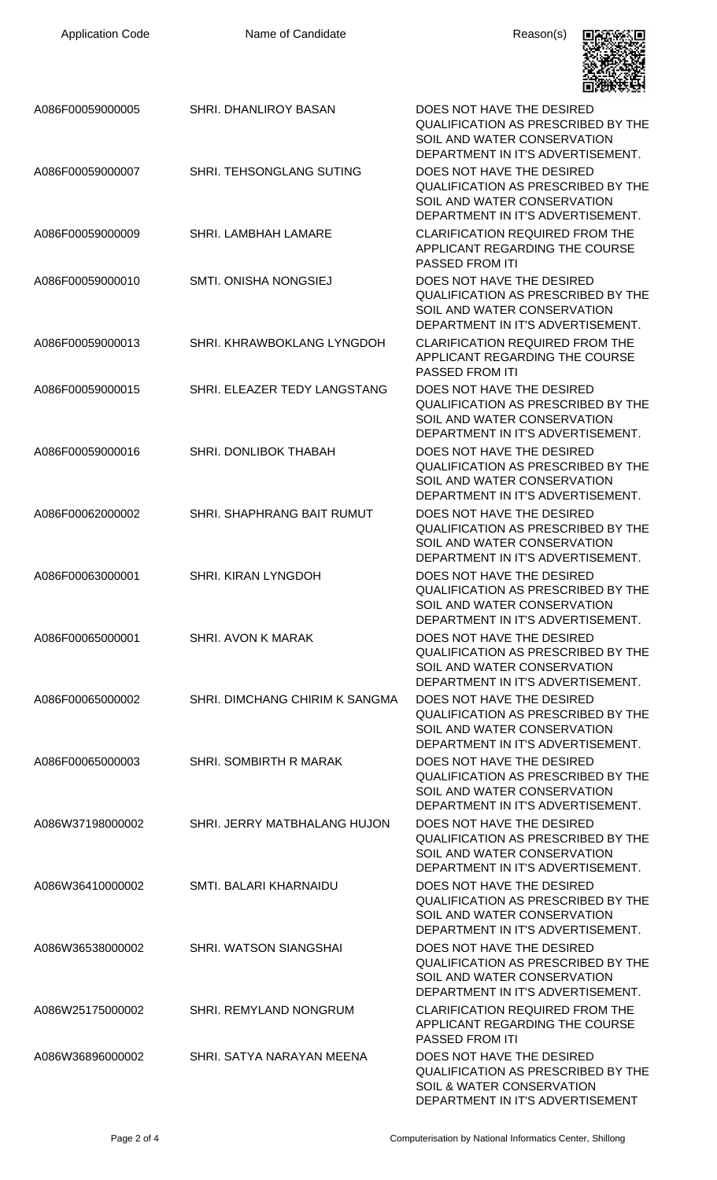| <b>Application Code</b> | Name of Candidate                 | Reason(s)                                                                                                                                  |
|-------------------------|-----------------------------------|--------------------------------------------------------------------------------------------------------------------------------------------|
| A086F00059000005        | SHRI. DHANLIROY BASAN             | DOES NOT HAVE THE DESIRED<br>QUALIFICATION AS PRESCRIBED BY THE<br>SOIL AND WATER CONSERVATION<br>DEPARTMENT IN IT'S ADVERTISEMENT.        |
| A086F00059000007        | SHRI. TEHSONGLANG SUTING          | DOES NOT HAVE THE DESIRED<br><b>QUALIFICATION AS PRESCRIBED BY THE</b><br>SOIL AND WATER CONSERVATION<br>DEPARTMENT IN IT'S ADVERTISEMENT. |
| A086F00059000009        | SHRI. LAMBHAH LAMARE              | <b>CLARIFICATION REQUIRED FROM THE</b><br>APPLICANT REGARDING THE COURSE<br>PASSED FROM ITI                                                |
| A086F00059000010        | <b>SMTI. ONISHA NONGSIEJ</b>      | DOES NOT HAVE THE DESIRED<br><b>QUALIFICATION AS PRESCRIBED BY THE</b><br>SOIL AND WATER CONSERVATION<br>DEPARTMENT IN IT'S ADVERTISEMENT. |
| A086F00059000013        | SHRI. KHRAWBOKLANG LYNGDOH        | <b>CLARIFICATION REQUIRED FROM THE</b><br>APPLICANT REGARDING THE COURSE<br>PASSED FROM ITI                                                |
| A086F00059000015        | SHRI. ELEAZER TEDY LANGSTANG      | DOES NOT HAVE THE DESIRED<br><b>QUALIFICATION AS PRESCRIBED BY THE</b><br>SOIL AND WATER CONSERVATION<br>DEPARTMENT IN IT'S ADVERTISEMENT. |
| A086F00059000016        | SHRI. DONLIBOK THABAH             | DOES NOT HAVE THE DESIRED<br><b>QUALIFICATION AS PRESCRIBED BY THE</b><br>SOIL AND WATER CONSERVATION<br>DEPARTMENT IN IT'S ADVERTISEMENT. |
| A086F00062000002        | <b>SHRI. SHAPHRANG BAIT RUMUT</b> | DOES NOT HAVE THE DESIRED<br><b>QUALIFICATION AS PRESCRIBED BY THE</b><br>SOIL AND WATER CONSERVATION<br>DEPARTMENT IN IT'S ADVERTISEMENT. |
| A086F00063000001        | <b>SHRI. KIRAN LYNGDOH</b>        | DOES NOT HAVE THE DESIRED<br><b>QUALIFICATION AS PRESCRIBED BY THE</b><br>SOIL AND WATER CONSERVATION<br>DEPARTMENT IN IT'S ADVERTISEMENT. |
| A086F00065000001        | <b>SHRI. AVON K MARAK</b>         | DOES NOT HAVE THE DESIRED<br><b>QUALIFICATION AS PRESCRIBED BY THE</b><br>SOIL AND WATER CONSERVATION<br>DEPARTMENT IN IT'S ADVERTISEMENT. |
| A086F00065000002        | SHRI. DIMCHANG CHIRIM K SANGMA    | DOES NOT HAVE THE DESIRED<br>QUALIFICATION AS PRESCRIBED BY THE<br>SOIL AND WATER CONSERVATION<br>DEPARTMENT IN IT'S ADVERTISEMENT.        |
| A086F00065000003        | SHRI. SOMBIRTH R MARAK            | DOES NOT HAVE THE DESIRED<br><b>QUALIFICATION AS PRESCRIBED BY THE</b><br>SOIL AND WATER CONSERVATION<br>DEPARTMENT IN IT'S ADVERTISEMENT. |
| A086W37198000002        | SHRI. JERRY MATBHALANG HUJON      | DOES NOT HAVE THE DESIRED<br>QUALIFICATION AS PRESCRIBED BY THE<br>SOIL AND WATER CONSERVATION<br>DEPARTMENT IN IT'S ADVERTISEMENT.        |
| A086W36410000002        | SMTI. BALARI KHARNAIDU            | DOES NOT HAVE THE DESIRED<br>QUALIFICATION AS PRESCRIBED BY THE<br>SOIL AND WATER CONSERVATION<br>DEPARTMENT IN IT'S ADVERTISEMENT.        |
| A086W36538000002        | SHRI. WATSON SIANGSHAI            | DOES NOT HAVE THE DESIRED<br><b>QUALIFICATION AS PRESCRIBED BY THE</b><br>SOIL AND WATER CONSERVATION<br>DEPARTMENT IN IT'S ADVERTISEMENT. |
| A086W25175000002        | SHRI. REMYLAND NONGRUM            | <b>CLARIFICATION REQUIRED FROM THE</b><br>APPLICANT REGARDING THE COURSE<br><b>PASSED FROM ITI</b>                                         |
| A086W36896000002        | SHRI. SATYA NARAYAN MEENA         | DOES NOT HAVE THE DESIRED<br><b>QUALIFICATION AS PRESCRIBED BY THE</b><br>SOIL & WATER CONSERVATION<br>DEPARTMENT IN IT'S ADVERTISEMENT    |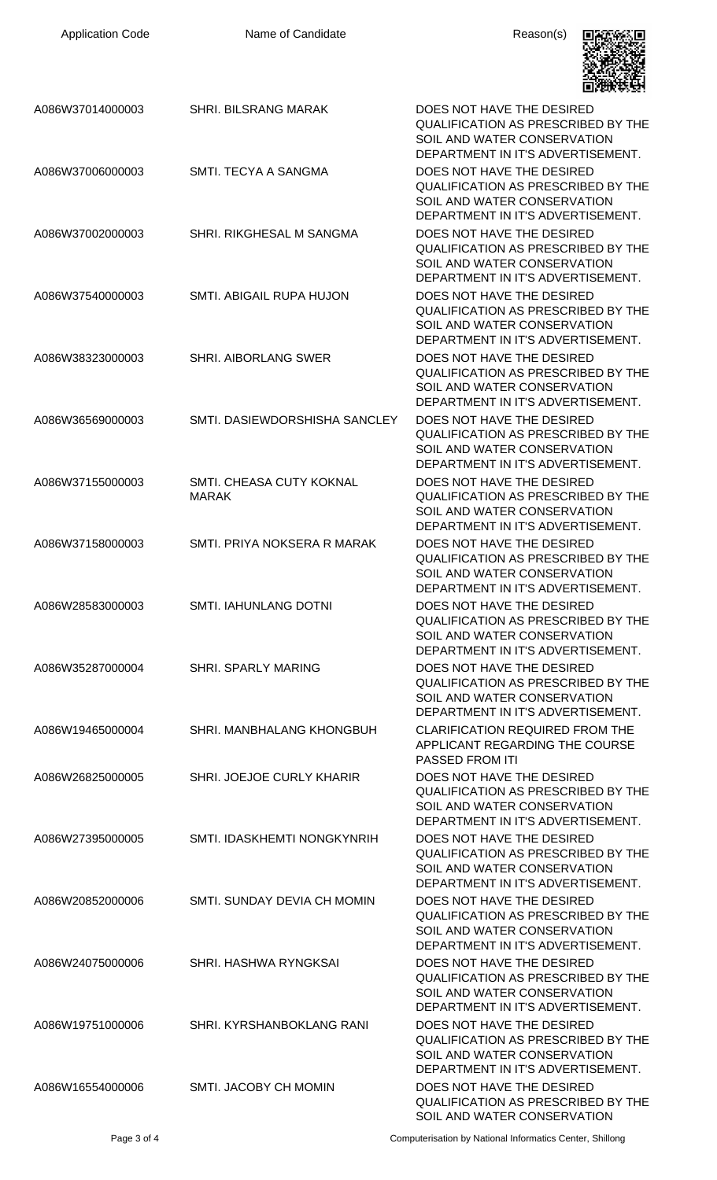| <b>Application Code</b> | Name of Candidate                        | Reason(s)                                                                                                                                  |
|-------------------------|------------------------------------------|--------------------------------------------------------------------------------------------------------------------------------------------|
| A086W37014000003        | <b>SHRI. BILSRANG MARAK</b>              | DOES NOT HAVE THE DESIRED<br>QUALIFICATION AS PRESCRIBED BY THE<br>SOIL AND WATER CONSERVATION<br>DEPARTMENT IN IT'S ADVERTISEMENT.        |
| A086W37006000003        | SMTI. TECYA A SANGMA                     | DOES NOT HAVE THE DESIRED<br><b>QUALIFICATION AS PRESCRIBED BY THE</b><br>SOIL AND WATER CONSERVATION<br>DEPARTMENT IN IT'S ADVERTISEMENT. |
| A086W37002000003        | SHRI. RIKGHESAL M SANGMA                 | DOES NOT HAVE THE DESIRED<br><b>QUALIFICATION AS PRESCRIBED BY THE</b><br>SOIL AND WATER CONSERVATION<br>DEPARTMENT IN IT'S ADVERTISEMENT. |
| A086W37540000003        | SMTI. ABIGAIL RUPA HUJON                 | DOES NOT HAVE THE DESIRED<br><b>QUALIFICATION AS PRESCRIBED BY THE</b><br>SOIL AND WATER CONSERVATION<br>DEPARTMENT IN IT'S ADVERTISEMENT. |
| A086W38323000003        | <b>SHRI. AIBORLANG SWER</b>              | DOES NOT HAVE THE DESIRED<br><b>QUALIFICATION AS PRESCRIBED BY THE</b><br>SOIL AND WATER CONSERVATION<br>DEPARTMENT IN IT'S ADVERTISEMENT. |
| A086W36569000003        | SMTI. DASIEWDORSHISHA SANCLEY            | DOES NOT HAVE THE DESIRED<br><b>QUALIFICATION AS PRESCRIBED BY THE</b><br>SOIL AND WATER CONSERVATION<br>DEPARTMENT IN IT'S ADVERTISEMENT. |
| A086W37155000003        | SMTI. CHEASA CUTY KOKNAL<br><b>MARAK</b> | DOES NOT HAVE THE DESIRED<br>QUALIFICATION AS PRESCRIBED BY THE<br>SOIL AND WATER CONSERVATION<br>DEPARTMENT IN IT'S ADVERTISEMENT.        |
| A086W37158000003        | SMTI. PRIYA NOKSERA R MARAK              | DOES NOT HAVE THE DESIRED<br><b>QUALIFICATION AS PRESCRIBED BY THE</b><br>SOIL AND WATER CONSERVATION<br>DEPARTMENT IN IT'S ADVERTISEMENT. |
| A086W28583000003        | SMTI. IAHUNLANG DOTNI                    | DOES NOT HAVE THE DESIRED<br><b>QUALIFICATION AS PRESCRIBED BY THE</b><br>SOIL AND WATER CONSERVATION<br>DEPARTMENT IN IT'S ADVERTISEMENT. |
| A086W35287000004        | <b>SHRI. SPARLY MARING</b>               | DOES NOT HAVE THE DESIRED<br>QUALIFICATION AS PRESCRIBED BY THE<br>SOIL AND WATER CONSERVATION<br>DEPARTMENT IN IT'S ADVERTISEMENT.        |
| A086W19465000004        | SHRI. MANBHALANG KHONGBUH                | <b>CLARIFICATION REQUIRED FROM THE</b><br>APPLICANT REGARDING THE COURSE<br><b>PASSED FROM ITI</b>                                         |
| A086W26825000005        | SHRI. JOEJOE CURLY KHARIR                | DOES NOT HAVE THE DESIRED<br><b>QUALIFICATION AS PRESCRIBED BY THE</b><br>SOIL AND WATER CONSERVATION<br>DEPARTMENT IN IT'S ADVERTISEMENT. |
| A086W27395000005        | SMTI. IDASKHEMTI NONGKYNRIH              | DOES NOT HAVE THE DESIRED<br><b>QUALIFICATION AS PRESCRIBED BY THE</b><br>SOIL AND WATER CONSERVATION<br>DEPARTMENT IN IT'S ADVERTISEMENT. |
| A086W20852000006        | SMTI. SUNDAY DEVIA CH MOMIN              | DOES NOT HAVE THE DESIRED<br><b>QUALIFICATION AS PRESCRIBED BY THE</b><br>SOIL AND WATER CONSERVATION<br>DEPARTMENT IN IT'S ADVERTISEMENT. |
| A086W24075000006        | SHRI. HASHWA RYNGKSAI                    | DOES NOT HAVE THE DESIRED<br><b>QUALIFICATION AS PRESCRIBED BY THE</b><br>SOIL AND WATER CONSERVATION<br>DEPARTMENT IN IT'S ADVERTISEMENT. |
| A086W19751000006        | SHRI. KYRSHANBOKLANG RANI                | DOES NOT HAVE THE DESIRED<br><b>QUALIFICATION AS PRESCRIBED BY THE</b><br>SOIL AND WATER CONSERVATION<br>DEPARTMENT IN IT'S ADVERTISEMENT. |
| A086W16554000006        | SMTI. JACOBY CH MOMIN                    | DOES NOT HAVE THE DESIRED<br><b>QUALIFICATION AS PRESCRIBED BY THE</b><br>SOIL AND WATER CONSERVATION                                      |

Page 3 of 4 Computerisation by National Informatics Center, Shillong